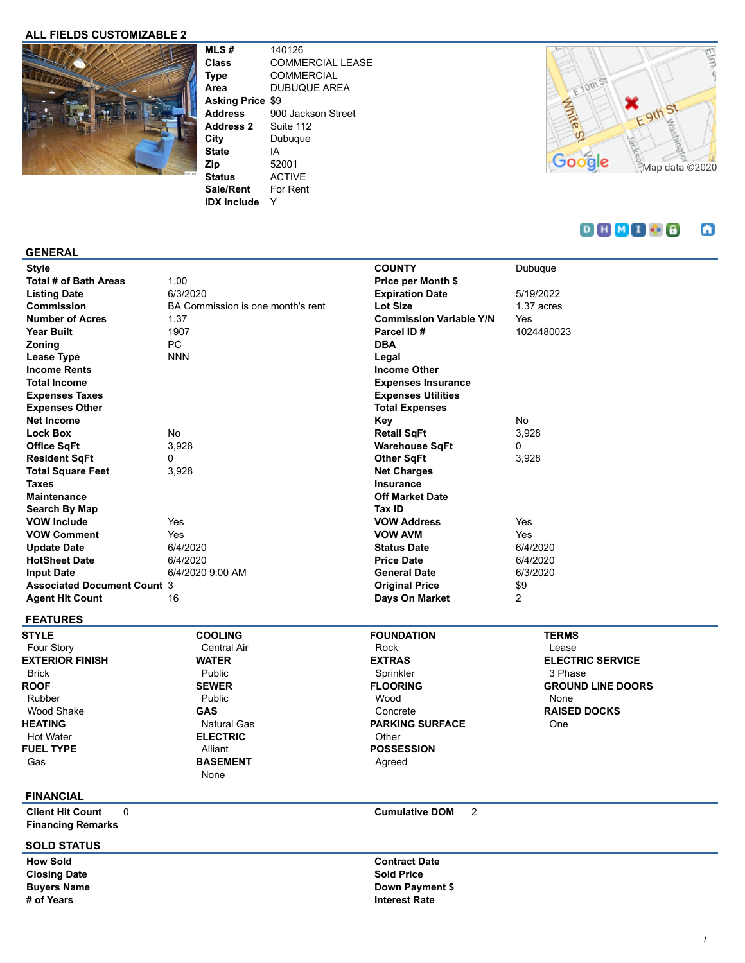## **ALL FIELDS CUSTOMIZABLE 2**



**MLS #** 140126 **Class** COMMERCIAL LEASE **Type** COMMERCIAL **Area** DUBUQUE AREA **Asking Price** \$9 **Address** 900 Jackson Street **Address 2** Suite 112 **City** Dubuque **State** IA **Zip** 52001 **Status** ACTIVE **Sale/Rent** For Rent **IDX Include** Y



#### $D H M I B$ ω

#### **GENERAL**

| <b>Style</b>                       |                                   | <b>COUNTY</b>                  | Dubuque        |
|------------------------------------|-----------------------------------|--------------------------------|----------------|
| Total # of Bath Areas              | 1.00                              | Price per Month \$             |                |
| <b>Listing Date</b>                | 6/3/2020                          | <b>Expiration Date</b>         | 5/19/2022      |
| <b>Commission</b>                  | BA Commission is one month's rent | Lot Size                       | 1.37 acres     |
| <b>Number of Acres</b>             | 1.37                              | <b>Commission Variable Y/N</b> | Yes            |
| Year Built                         | 1907                              | Parcel ID#                     | 1024480023     |
| Zoning                             | PC                                | <b>DBA</b>                     |                |
| Lease Type                         | <b>NNN</b>                        | Legal                          |                |
| <b>Income Rents</b>                |                                   | <b>Income Other</b>            |                |
| <b>Total Income</b>                |                                   | <b>Expenses Insurance</b>      |                |
| <b>Expenses Taxes</b>              |                                   | <b>Expenses Utilities</b>      |                |
| <b>Expenses Other</b>              |                                   | <b>Total Expenses</b>          |                |
| <b>Net Income</b>                  |                                   | Key                            | No             |
| <b>Lock Box</b>                    | No                                | <b>Retail SqFt</b>             | 3,928          |
| Office SqFt                        | 3,928                             | <b>Warehouse SqFt</b>          | 0              |
| <b>Resident SqFt</b>               | 0                                 | <b>Other SqFt</b>              | 3,928          |
| <b>Total Square Feet</b>           | 3,928                             | <b>Net Charges</b>             |                |
| <b>Taxes</b>                       |                                   | Insurance                      |                |
| <b>Maintenance</b>                 |                                   | <b>Off Market Date</b>         |                |
| Search By Map                      |                                   | Tax ID                         |                |
| <b>VOW Include</b>                 | Yes                               | <b>VOW Address</b>             | Yes            |
| <b>VOW Comment</b>                 | Yes                               | <b>VOW AVM</b>                 | Yes            |
| <b>Update Date</b>                 | 6/4/2020                          | <b>Status Date</b>             | 6/4/2020       |
| <b>HotSheet Date</b>               | 6/4/2020                          | <b>Price Date</b>              | 6/4/2020       |
| <b>Input Date</b>                  | 6/4/2020 9:00 AM                  | <b>General Date</b>            | 6/3/2020       |
| <b>Associated Document Count 3</b> |                                   | <b>Original Price</b>          | \$9            |
| <b>Agent Hit Count</b>             | 16                                | Days On Market                 | $\overline{2}$ |
| FF ATURFO                          |                                   |                                |                |

#### **FEATURES**

**STYLE** Four Story **EXTERIOR FINISH** Brick **ROOF** Rubber Wood Shake **HEATING** Hot Water **FUEL TYPE** Gas

#### **COOLING** Central Air **WATER** Public **SEWER** Public **GAS** Natural Gas **ELECTRIC** Alliant **BASEMENT** None

### **FOUNDATION** Rock **EXTRAS** Sprinkler **FLOORING** Wood Concrete **PARKING SURFACE Other POSSESSION** Agreed

## **TERMS** Lease **ELECTRIC SERVICE** 3 Phase **GROUND LINE DOORS** None **RAISED DOCKS** One

# **FINANCIAL**

**Client Hit Count** 0 **Cumulative DOM** 2 **Financing Remarks**

#### **SOLD STATUS**

**Closing Date Sold Price** 

**How Sold Contract Date Buyers Name Down Payment \$ # of Years Interest Rate**